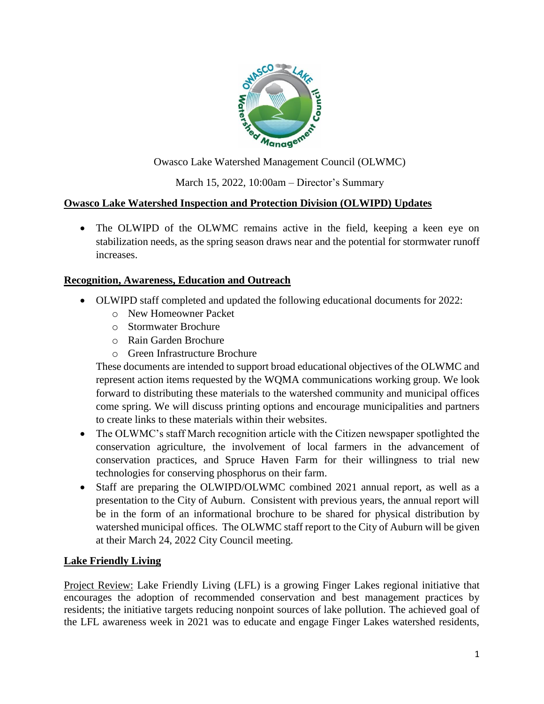

Owasco Lake Watershed Management Council (OLWMC)

March 15, 2022, 10:00am – Director's Summary

## **Owasco Lake Watershed Inspection and Protection Division (OLWIPD) Updates**

 The OLWIPD of the OLWMC remains active in the field, keeping a keen eye on stabilization needs, as the spring season draws near and the potential for stormwater runoff increases.

#### **Recognition, Awareness, Education and Outreach**

- OLWIPD staff completed and updated the following educational documents for 2022:
	- o New Homeowner Packet
	- o Stormwater Brochure
	- o Rain Garden Brochure
	- o Green Infrastructure Brochure

These documents are intended to support broad educational objectives of the OLWMC and represent action items requested by the WQMA communications working group. We look forward to distributing these materials to the watershed community and municipal offices come spring. We will discuss printing options and encourage municipalities and partners to create links to these materials within their websites.

- The OLWMC's staff March recognition article with the Citizen newspaper spotlighted the conservation agriculture, the involvement of local farmers in the advancement of conservation practices, and Spruce Haven Farm for their willingness to trial new technologies for conserving phosphorus on their farm.
- Staff are preparing the OLWIPD/OLWMC combined 2021 annual report, as well as a presentation to the City of Auburn. Consistent with previous years, the annual report will be in the form of an informational brochure to be shared for physical distribution by watershed municipal offices. The OLWMC staff report to the City of Auburn will be given at their March 24, 2022 City Council meeting.

## **Lake Friendly Living**

Project Review: Lake Friendly Living (LFL) is a growing Finger Lakes regional initiative that encourages the adoption of recommended conservation and best management practices by residents; the initiative targets reducing nonpoint sources of lake pollution. The achieved goal of the LFL awareness week in 2021 was to educate and engage Finger Lakes watershed residents,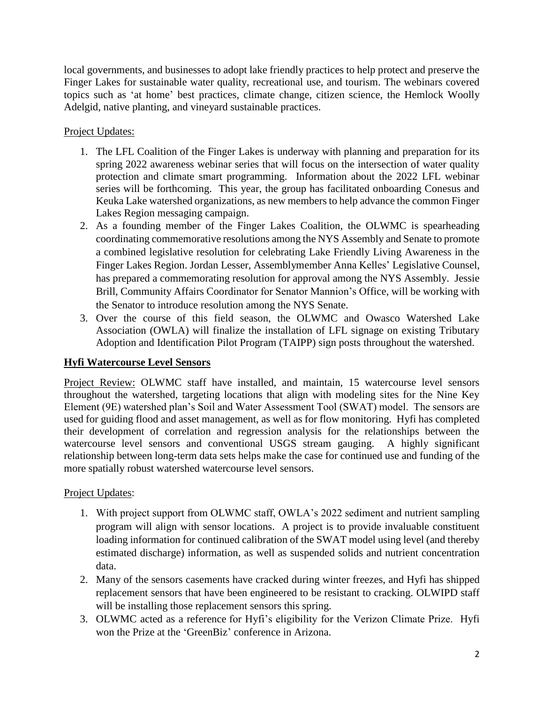local governments, and businesses to adopt lake friendly practices to help protect and preserve the Finger Lakes for sustainable water quality, recreational use, and tourism. The webinars covered topics such as 'at home' best practices, climate change, citizen science, the Hemlock Woolly Adelgid, native planting, and vineyard sustainable practices.

Project Updates:

- 1. The LFL Coalition of the Finger Lakes is underway with planning and preparation for its spring 2022 awareness webinar series that will focus on the intersection of water quality protection and climate smart programming. Information about the 2022 LFL webinar series will be forthcoming. This year, the group has facilitated onboarding Conesus and Keuka Lake watershed organizations, as new members to help advance the common Finger Lakes Region messaging campaign.
- 2. As a founding member of the Finger Lakes Coalition, the OLWMC is spearheading coordinating commemorative resolutions among the NYS Assembly and Senate to promote a combined legislative resolution for celebrating Lake Friendly Living Awareness in the Finger Lakes Region. Jordan Lesser, Assemblymember Anna Kelles' Legislative Counsel, has prepared a commemorating resolution for approval among the NYS Assembly. Jessie Brill, Community Affairs Coordinator for Senator Mannion's Office, will be working with the Senator to introduce resolution among the NYS Senate.
- 3. Over the course of this field season, the OLWMC and Owasco Watershed Lake Association (OWLA) will finalize the installation of LFL signage on existing Tributary Adoption and Identification Pilot Program (TAIPP) sign posts throughout the watershed.

## **Hyfi Watercourse Level Sensors**

Project Review: OLWMC staff have installed, and maintain, 15 watercourse level sensors throughout the watershed, targeting locations that align with modeling sites for the Nine Key Element (9E) watershed plan's Soil and Water Assessment Tool (SWAT) model. The sensors are used for guiding flood and asset management, as well as for flow monitoring. Hyfi has completed their development of correlation and regression analysis for the relationships between the watercourse level sensors and conventional USGS stream gauging. A highly significant relationship between long-term data sets helps make the case for continued use and funding of the more spatially robust watershed watercourse level sensors.

#### Project Updates:

- 1. With project support from OLWMC staff, OWLA's 2022 sediment and nutrient sampling program will align with sensor locations. A project is to provide invaluable constituent loading information for continued calibration of the SWAT model using level (and thereby estimated discharge) information, as well as suspended solids and nutrient concentration data.
- 2. Many of the sensors casements have cracked during winter freezes, and Hyfi has shipped replacement sensors that have been engineered to be resistant to cracking. OLWIPD staff will be installing those replacement sensors this spring.
- 3. OLWMC acted as a reference for Hyfi's eligibility for the Verizon Climate Prize. Hyfi won the Prize at the 'GreenBiz' conference in Arizona.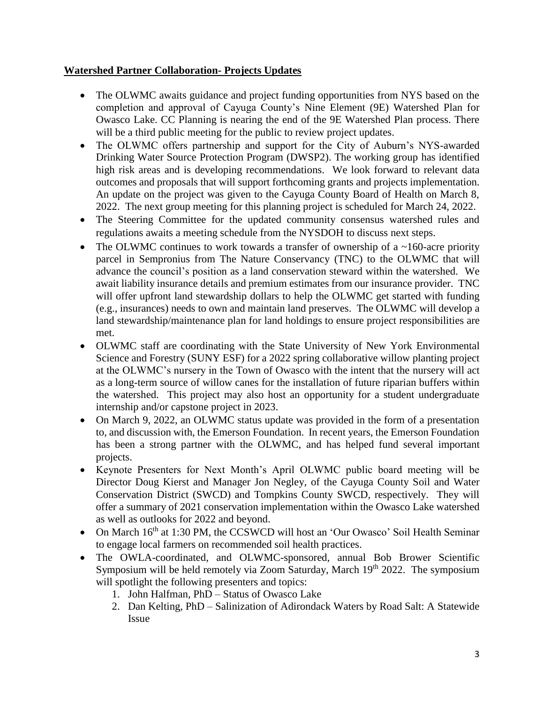#### **Watershed Partner Collaboration- Projects Updates**

- The OLWMC awaits guidance and project funding opportunities from NYS based on the completion and approval of Cayuga County's Nine Element (9E) Watershed Plan for Owasco Lake. CC Planning is nearing the end of the 9E Watershed Plan process. There will be a third public meeting for the public to review project updates.
- The OLWMC offers partnership and support for the City of Auburn's NYS-awarded Drinking Water Source Protection Program (DWSP2). The working group has identified high risk areas and is developing recommendations. We look forward to relevant data outcomes and proposals that will support forthcoming grants and projects implementation. An update on the project was given to the Cayuga County Board of Health on March 8, 2022. The next group meeting for this planning project is scheduled for March 24, 2022.
- The Steering Committee for the updated community consensus watershed rules and regulations awaits a meeting schedule from the NYSDOH to discuss next steps.
- The OLWMC continues to work towards a transfer of ownership of a  $\sim$ 160-acre priority parcel in Sempronius from The Nature Conservancy (TNC) to the OLWMC that will advance the council's position as a land conservation steward within the watershed. We await liability insurance details and premium estimates from our insurance provider. TNC will offer upfront land stewardship dollars to help the OLWMC get started with funding (e.g., insurances) needs to own and maintain land preserves. The OLWMC will develop a land stewardship/maintenance plan for land holdings to ensure project responsibilities are met.
- OLWMC staff are coordinating with the State University of New York Environmental Science and Forestry (SUNY ESF) for a 2022 spring collaborative willow planting project at the OLWMC's nursery in the Town of Owasco with the intent that the nursery will act as a long-term source of willow canes for the installation of future riparian buffers within the watershed. This project may also host an opportunity for a student undergraduate internship and/or capstone project in 2023.
- On March 9, 2022, an OLWMC status update was provided in the form of a presentation to, and discussion with, the Emerson Foundation. In recent years, the Emerson Foundation has been a strong partner with the OLWMC, and has helped fund several important projects.
- Keynote Presenters for Next Month's April OLWMC public board meeting will be Director Doug Kierst and Manager Jon Negley, of the Cayuga County Soil and Water Conservation District (SWCD) and Tompkins County SWCD, respectively. They will offer a summary of 2021 conservation implementation within the Owasco Lake watershed as well as outlooks for 2022 and beyond.
- On March 16<sup>th</sup> at 1:30 PM, the CCSWCD will host an 'Our Owasco' Soil Health Seminar to engage local farmers on recommended soil health practices.
- The OWLA-coordinated, and OLWMC-sponsored, annual Bob Brower Scientific Symposium will be held remotely via Zoom Saturday, March 19<sup>th</sup> 2022. The symposium will spotlight the following presenters and topics:
	- 1. John Halfman, PhD Status of Owasco Lake
	- 2. Dan Kelting, PhD Salinization of Adirondack Waters by Road Salt: A Statewide Issue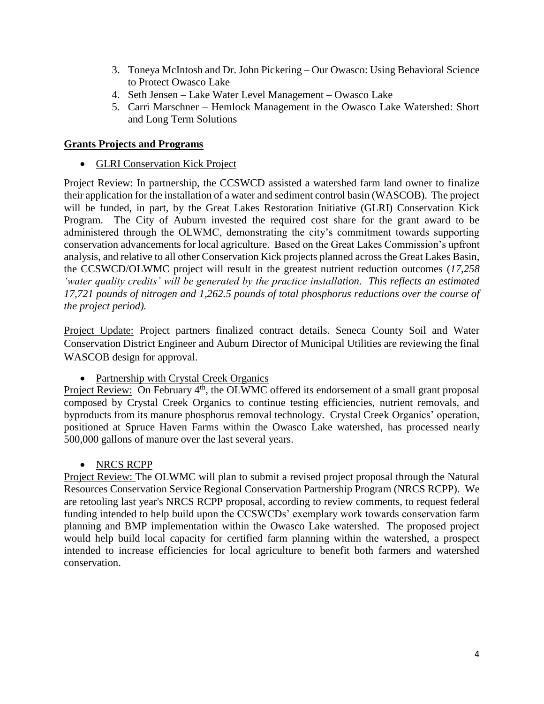- 3. Toneya McIntosh and Dr. John Pickering Our Owasco: Using Behavioral Science to Protect Owasco Lake
- 4. Seth Jensen Lake Water Level Management Owasco Lake
- 5. Carri Marschner Hemlock Management in the Owasco Lake Watershed: Short and Long Term Solutions

### **Grants Projects and Programs**

• GLRI Conservation Kick Project

Project Review: In partnership, the CCSWCD assisted a watershed farm land owner to finalize their application for the installation of a water and sediment control basin (WASCOB). The project will be funded, in part, by the Great Lakes Restoration Initiative (GLRI) Conservation Kick Program. The City of Auburn invested the required cost share for the grant award to be administered through the OLWMC, demonstrating the city's commitment towards supporting conservation advancements for local agriculture. Based on the Great Lakes Commission's upfront analysis, and relative to all other Conservation Kick projects planned across the Great Lakes Basin, the CCSWCD/OLWMC project will result in the greatest nutrient reduction outcomes (*17,258 'water quality credits' will be generated by the practice installation. This reflects an estimated 17,721 pounds of nitrogen and 1,262.5 pounds of total phosphorus reductions over the course of the project period).*

Project Update: Project partners finalized contract details. Seneca County Soil and Water Conservation District Engineer and Auburn Director of Municipal Utilities are reviewing the final WASCOB design for approval.

• Partnership with Crystal Creek Organics

Project Review: On February 4<sup>th</sup>, the OLWMC offered its endorsement of a small grant proposal composed by Crystal Creek Organics to continue testing efficiencies, nutrient removals, and byproducts from its manure phosphorus removal technology. Crystal Creek Organics' operation, positioned at Spruce Haven Farms within the Owasco Lake watershed, has processed nearly 500,000 gallons of manure over the last several years.

• NRCS RCPP

Project Review: The OLWMC will plan to submit a revised project proposal through the Natural Resources Conservation Service Regional Conservation Partnership Program (NRCS RCPP). We are retooling last year's NRCS RCPP proposal, according to review comments, to request federal funding intended to help build upon the CCSWCDs' exemplary work towards conservation farm planning and BMP implementation within the Owasco Lake watershed. The proposed project would help build local capacity for certified farm planning within the watershed, a prospect intended to increase efficiencies for local agriculture to benefit both farmers and watershed conservation.